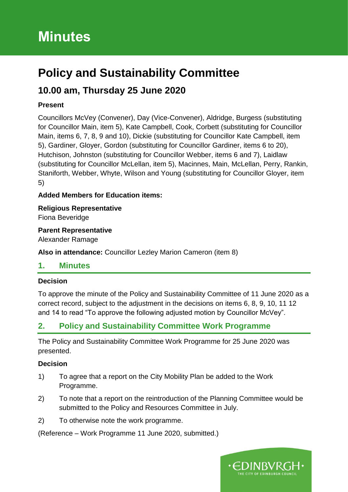# **Policy and Sustainability Committee**

# **10.00 am, Thursday 25 June 2020**

### **Present**

Councillors McVey (Convener), Day (Vice-Convener), Aldridge, Burgess (substituting for Councillor Main, item 5), Kate Campbell, Cook, Corbett (substituting for Councillor Main, items 6, 7, 8, 9 and 10), Dickie (substituting for Councillor Kate Campbell, item 5), Gardiner, Gloyer, Gordon (substituting for Councillor Gardiner, items 6 to 20), Hutchison, Johnston (substituting for Councillor Webber, items 6 and 7), Laidlaw (substituting for Councillor McLellan, item 5), Macinnes, Main, McLellan, Perry, Rankin, Staniforth, Webber, Whyte, Wilson and Young (substituting for Councillor Gloyer, item 5)

### **Added Members for Education items:**

**Religious Representative** Fiona Beveridge

#### **Parent Representative**

Alexander Ramage

**Also in attendance:** Councillor Lezley Marion Cameron (item 8)

### **1. Minutes**

### **Decision**

To approve the minute of the Policy and Sustainability Committee of 11 June 2020 as a correct record, subject to the adjustment in the decisions on items 6, 8, 9, 10, 11 12 and 14 to read "To approve the following adjusted motion by Councillor McVey".

# **2. Policy and Sustainability Committee Work Programme**

The Policy and Sustainability Committee Work Programme for 25 June 2020 was presented.

### **Decision**

- 1) To agree that a report on the City Mobility Plan be added to the Work Programme.
- 2) To note that a report on the reintroduction of the Planning Committee would be submitted to the Policy and Resources Committee in July.
- 2) To otherwise note the work programme.

(Reference – Work Programme 11 June 2020, submitted.)

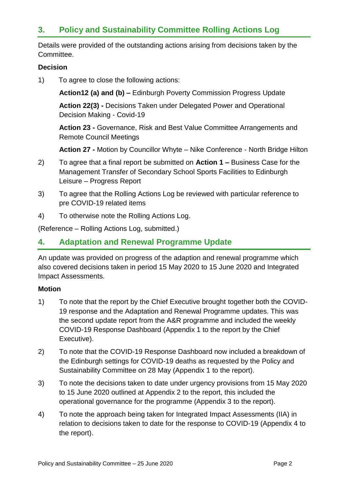# **3. Policy and Sustainability Committee Rolling Actions Log**

Details were provided of the outstanding actions arising from decisions taken by the Committee.

### **Decision**

1) To agree to close the following actions:

**Action12 (a) and (b) –** Edinburgh Poverty Commission Progress Update

**Action 22(3) -** Decisions Taken under Delegated Power and Operational Decision Making - Covid-19

**Action 23 -** Governance, Risk and Best Value Committee Arrangements and Remote Council Meetings

**Action 27 -** Motion by Councillor Whyte – Nike Conference - North Bridge Hilton

- 2) To agree that a final report be submitted on **Action 1 –** Business Case for the Management Transfer of Secondary School Sports Facilities to Edinburgh Leisure – Progress Report
- 3) To agree that the Rolling Actions Log be reviewed with particular reference to pre COVID-19 related items
- 4) To otherwise note the Rolling Actions Log.

(Reference – Rolling Actions Log, submitted.)

### **4. Adaptation and Renewal Programme Update**

An update was provided on progress of the adaption and renewal programme which also covered decisions taken in period 15 May 2020 to 15 June 2020 and Integrated Impact Assessments.

#### **Motion**

- 1) To note that the report by the Chief Executive brought together both the COVID-19 response and the Adaptation and Renewal Programme updates. This was the second update report from the A&R programme and included the weekly COVID-19 Response Dashboard (Appendix 1 to the report by the Chief Executive).
- 2) To note that the COVID-19 Response Dashboard now included a breakdown of the Edinburgh settings for COVID-19 deaths as requested by the Policy and Sustainability Committee on 28 May (Appendix 1 to the report).
- 3) To note the decisions taken to date under urgency provisions from 15 May 2020 to 15 June 2020 outlined at Appendix 2 to the report, this included the operational governance for the programme (Appendix 3 to the report).
- 4) To note the approach being taken for Integrated Impact Assessments (IIA) in relation to decisions taken to date for the response to COVID-19 (Appendix 4 to the report).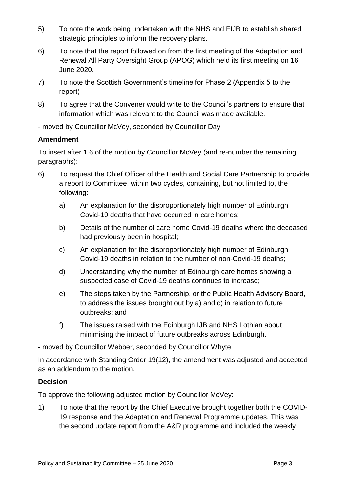- 5) To note the work being undertaken with the NHS and EIJB to establish shared strategic principles to inform the recovery plans.
- 6) To note that the report followed on from the first meeting of the Adaptation and Renewal All Party Oversight Group (APOG) which held its first meeting on 16 June 2020.
- 7) To note the Scottish Government's timeline for Phase 2 (Appendix 5 to the report)
- 8) To agree that the Convener would write to the Council's partners to ensure that information which was relevant to the Council was made available.

- moved by Councillor McVey, seconded by Councillor Day

### **Amendment**

To insert after 1.6 of the motion by Councillor McVey (and re-number the remaining paragraphs):

- 6) To request the Chief Officer of the Health and Social Care Partnership to provide a report to Committee, within two cycles, containing, but not limited to, the following:
	- a) An explanation for the disproportionately high number of Edinburgh Covid-19 deaths that have occurred in care homes;
	- b) Details of the number of care home Covid-19 deaths where the deceased had previously been in hospital;
	- c) An explanation for the disproportionately high number of Edinburgh Covid-19 deaths in relation to the number of non-Covid-19 deaths;
	- d) Understanding why the number of Edinburgh care homes showing a suspected case of Covid-19 deaths continues to increase;
	- e) The steps taken by the Partnership, or the Public Health Advisory Board, to address the issues brought out by a) and c) in relation to future outbreaks: and
	- f) The issues raised with the Edinburgh IJB and NHS Lothian about minimising the impact of future outbreaks across Edinburgh.

- moved by Councillor Webber, seconded by Councillor Whyte

In accordance with Standing Order 19(12), the amendment was adjusted and accepted as an addendum to the motion.

### **Decision**

To approve the following adjusted motion by Councillor McVey:

1) To note that the report by the Chief Executive brought together both the COVID-19 response and the Adaptation and Renewal Programme updates. This was the second update report from the A&R programme and included the weekly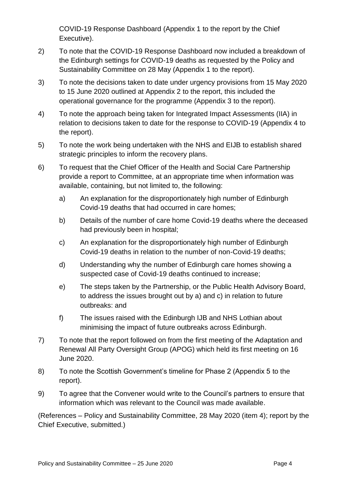COVID-19 Response Dashboard (Appendix 1 to the report by the Chief Executive).

- 2) To note that the COVID-19 Response Dashboard now included a breakdown of the Edinburgh settings for COVID-19 deaths as requested by the Policy and Sustainability Committee on 28 May (Appendix 1 to the report).
- 3) To note the decisions taken to date under urgency provisions from 15 May 2020 to 15 June 2020 outlined at Appendix 2 to the report, this included the operational governance for the programme (Appendix 3 to the report).
- 4) To note the approach being taken for Integrated Impact Assessments (IIA) in relation to decisions taken to date for the response to COVID-19 (Appendix 4 to the report).
- 5) To note the work being undertaken with the NHS and EIJB to establish shared strategic principles to inform the recovery plans.
- 6) To request that the Chief Officer of the Health and Social Care Partnership provide a report to Committee, at an appropriate time when information was available, containing, but not limited to, the following:
	- a) An explanation for the disproportionately high number of Edinburgh Covid-19 deaths that had occurred in care homes;
	- b) Details of the number of care home Covid-19 deaths where the deceased had previously been in hospital;
	- c) An explanation for the disproportionately high number of Edinburgh Covid-19 deaths in relation to the number of non-Covid-19 deaths;
	- d) Understanding why the number of Edinburgh care homes showing a suspected case of Covid-19 deaths continued to increase;
	- e) The steps taken by the Partnership, or the Public Health Advisory Board, to address the issues brought out by a) and c) in relation to future outbreaks: and
	- f) The issues raised with the Edinburgh IJB and NHS Lothian about minimising the impact of future outbreaks across Edinburgh.
- 7) To note that the report followed on from the first meeting of the Adaptation and Renewal All Party Oversight Group (APOG) which held its first meeting on 16 June 2020.
- 8) To note the Scottish Government's timeline for Phase 2 (Appendix 5 to the report).
- 9) To agree that the Convener would write to the Council's partners to ensure that information which was relevant to the Council was made available.

(References – Policy and Sustainability Committee, 28 May 2020 (item 4); report by the Chief Executive, submitted.)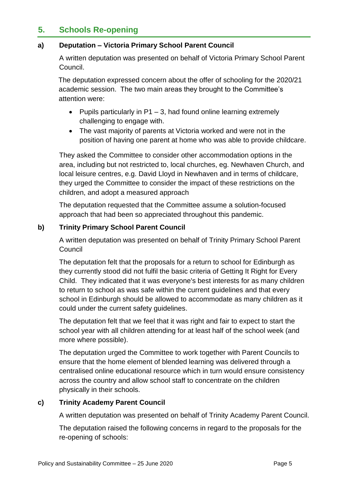# **5. Schools Re-opening**

#### **a) Deputation – Victoria Primary School Parent Council**

A written deputation was presented on behalf of Victoria Primary School Parent Council.

The deputation expressed concern about the offer of schooling for the 2020/21 academic session. The two main areas they brought to the Committee's attention were:

- Pupils particularly in  $P1 3$ , had found online learning extremely challenging to engage with.
- The vast majority of parents at Victoria worked and were not in the position of having one parent at home who was able to provide childcare.

They asked the Committee to consider other accommodation options in the area, including but not restricted to, local churches, eg. Newhaven Church, and local leisure centres, e.g. David Lloyd in Newhaven and in terms of childcare, they urged the Committee to consider the impact of these restrictions on the children, and adopt a measured approach

The deputation requested that the Committee assume a solution-focused approach that had been so appreciated throughout this pandemic.

#### **b) Trinity Primary School Parent Council**

A written deputation was presented on behalf of Trinity Primary School Parent **Council** 

The deputation felt that the proposals for a return to school for Edinburgh as they currently stood did not fulfil the basic criteria of Getting It Right for Every Child. They indicated that it was everyone's best interests for as many children to return to school as was safe within the current guidelines and that every school in Edinburgh should be allowed to accommodate as many children as it could under the current safety guidelines.

The deputation felt that we feel that it was right and fair to expect to start the school year with all children attending for at least half of the school week (and more where possible).

The deputation urged the Committee to work together with Parent Councils to ensure that the home element of blended learning was delivered through a centralised online educational resource which in turn would ensure consistency across the country and allow school staff to concentrate on the children physically in their schools.

### **c) Trinity Academy Parent Council**

A written deputation was presented on behalf of Trinity Academy Parent Council.

The deputation raised the following concerns in regard to the proposals for the re-opening of schools: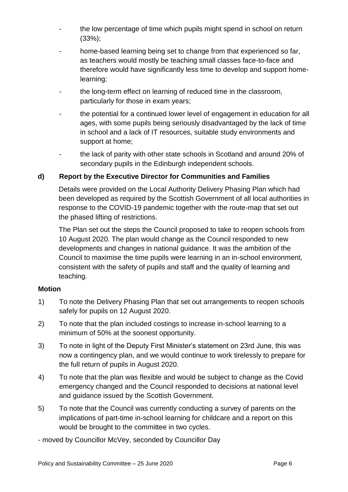- the low percentage of time which pupils might spend in school on return (33%);
- home-based learning being set to change from that experienced so far, as teachers would mostly be teaching small classes face-to-face and therefore would have significantly less time to develop and support homelearning;
- the long-term effect on learning of reduced time in the classroom, particularly for those in exam years;
- the potential for a continued lower level of engagement in education for all ages, with some pupils being seriously disadvantaged by the lack of time in school and a lack of IT resources, suitable study environments and support at home;
- the lack of parity with other state schools in Scotland and around 20% of secondary pupils in the Edinburgh independent schools.

### **d) Report by the Executive Director for Communities and Families**

Details were provided on the Local Authority Delivery Phasing Plan which had been developed as required by the Scottish Government of all local authorities in response to the COVID-19 pandemic together with the route-map that set out the phased lifting of restrictions.

The Plan set out the steps the Council proposed to take to reopen schools from 10 August 2020. The plan would change as the Council responded to new developments and changes in national guidance. It was the ambition of the Council to maximise the time pupils were learning in an in-school environment, consistent with the safety of pupils and staff and the quality of learning and teaching.

### **Motion**

- 1) To note the Delivery Phasing Plan that set out arrangements to reopen schools safely for pupils on 12 August 2020.
- 2) To note that the plan included costings to increase in-school learning to a minimum of 50% at the soonest opportunity.
- 3) To note in light of the Deputy First Minister's statement on 23rd June, this was now a contingency plan, and we would continue to work tirelessly to prepare for the full return of pupils in August 2020.
- 4) To note that the plan was flexible and would be subject to change as the Covid emergency changed and the Council responded to decisions at national level and guidance issued by the Scottish Government.
- 5) To note that the Council was currently conducting a survey of parents on the implications of part-time in-school learning for childcare and a report on this would be brought to the committee in two cycles.
- moved by Councillor McVey, seconded by Councillor Day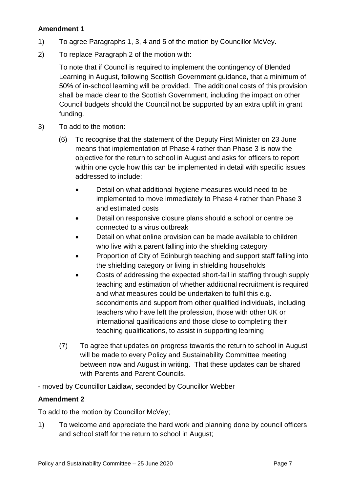### **Amendment 1**

- 1) To agree Paragraphs 1, 3, 4 and 5 of the motion by Councillor McVey.
- 2) To replace Paragraph 2 of the motion with:

To note that if Council is required to implement the contingency of Blended Learning in August, following Scottish Government guidance, that a minimum of 50% of in-school learning will be provided. The additional costs of this provision shall be made clear to the Scottish Government, including the impact on other Council budgets should the Council not be supported by an extra uplift in grant funding.

- 3) To add to the motion:
	- (6) To recognise that the statement of the Deputy First Minister on 23 June means that implementation of Phase 4 rather than Phase 3 is now the objective for the return to school in August and asks for officers to report within one cycle how this can be implemented in detail with specific issues addressed to include:
		- Detail on what additional hygiene measures would need to be implemented to move immediately to Phase 4 rather than Phase 3 and estimated costs
		- Detail on responsive closure plans should a school or centre be connected to a virus outbreak
		- Detail on what online provision can be made available to children who live with a parent falling into the shielding category
		- Proportion of City of Edinburgh teaching and support staff falling into the shielding category or living in shielding households
		- Costs of addressing the expected short-fall in staffing through supply teaching and estimation of whether additional recruitment is required and what measures could be undertaken to fulfil this e.g. secondments and support from other qualified individuals, including teachers who have left the profession, those with other UK or international qualifications and those close to completing their teaching qualifications, to assist in supporting learning
	- (7) To agree that updates on progress towards the return to school in August will be made to every Policy and Sustainability Committee meeting between now and August in writing. That these updates can be shared with Parents and Parent Councils.

- moved by Councillor Laidlaw, seconded by Councillor Webber

### **Amendment 2**

To add to the motion by Councillor McVey;

1) To welcome and appreciate the hard work and planning done by council officers and school staff for the return to school in August;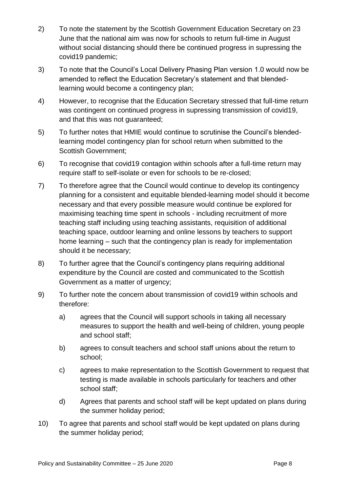- 2) To note the statement by the Scottish Government Education Secretary on 23 June that the national aim was now for schools to return full-time in August without social distancing should there be continued progress in supressing the covid19 pandemic;
- 3) To note that the Council's Local Delivery Phasing Plan version 1.0 would now be amended to reflect the Education Secretary's statement and that blendedlearning would become a contingency plan;
- 4) However, to recognise that the Education Secretary stressed that full-time return was contingent on continued progress in supressing transmission of covid19, and that this was not quaranteed:
- 5) To further notes that HMIE would continue to scrutinise the Council's blendedlearning model contingency plan for school return when submitted to the Scottish Government;
- 6) To recognise that covid19 contagion within schools after a full-time return may require staff to self-isolate or even for schools to be re-closed;
- 7) To therefore agree that the Council would continue to develop its contingency planning for a consistent and equitable blended-learning model should it become necessary and that every possible measure would continue be explored for maximising teaching time spent in schools - including recruitment of more teaching staff including using teaching assistants, requisition of additional teaching space, outdoor learning and online lessons by teachers to support home learning – such that the contingency plan is ready for implementation should it be necessary;
- 8) To further agree that the Council's contingency plans requiring additional expenditure by the Council are costed and communicated to the Scottish Government as a matter of urgency;
- 9) To further note the concern about transmission of covid19 within schools and therefore:
	- a) agrees that the Council will support schools in taking all necessary measures to support the health and well-being of children, young people and school staff;
	- b) agrees to consult teachers and school staff unions about the return to school;
	- c) agrees to make representation to the Scottish Government to request that testing is made available in schools particularly for teachers and other school staff;
	- d) Agrees that parents and school staff will be kept updated on plans during the summer holiday period;
- 10) To agree that parents and school staff would be kept updated on plans during the summer holiday period;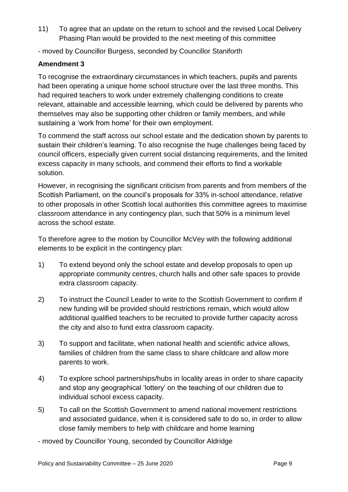- 11) To agree that an update on the return to school and the revised Local Delivery Phasing Plan would be provided to the next meeting of this committee
- moved by Councillor Burgess, seconded by Councillor Staniforth

### **Amendment 3**

To recognise the extraordinary circumstances in which teachers, pupils and parents had been operating a unique home school structure over the last three months. This had required teachers to work under extremely challenging conditions to create relevant, attainable and accessible learning, which could be delivered by parents who themselves may also be supporting other children or family members, and while sustaining a 'work from home' for their own employment.

To commend the staff across our school estate and the dedication shown by parents to sustain their children's learning. To also recognise the huge challenges being faced by council officers, especially given current social distancing requirements, and the limited excess capacity in many schools, and commend their efforts to find a workable solution.

However, in recognising the significant criticism from parents and from members of the Scottish Parliament, on the council's proposals for 33% in-school attendance, relative to other proposals in other Scottish local authorities this committee agrees to maximise classroom attendance in any contingency plan, such that 50% is a minimum level across the school estate.

To therefore agree to the motion by Councillor McVey with the following additional elements to be explicit in the contingency plan:

- 1) To extend beyond only the school estate and develop proposals to open up appropriate community centres, church halls and other safe spaces to provide extra classroom capacity.
- 2) To instruct the Council Leader to write to the Scottish Government to confirm if new funding will be provided should restrictions remain, which would allow additional qualified teachers to be recruited to provide further capacity across the city and also to fund extra classroom capacity.
- 3) To support and facilitate, when national health and scientific advice allows, families of children from the same class to share childcare and allow more parents to work.
- 4) To explore school partnerships/hubs in locality areas in order to share capacity and stop any geographical 'lottery' on the teaching of our children due to individual school excess capacity.
- 5) To call on the Scottish Government to amend national movement restrictions and associated guidance, when it is considered safe to do so, in order to allow close family members to help with childcare and home learning

- moved by Councillor Young, seconded by Councillor Aldridge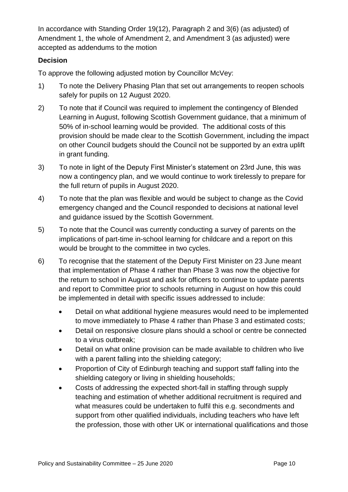In accordance with Standing Order 19(12), Paragraph 2 and 3(6) (as adjusted) of Amendment 1, the whole of Amendment 2, and Amendment 3 (as adjusted) were accepted as addendums to the motion

### **Decision**

To approve the following adjusted motion by Councillor McVey:

- 1) To note the Delivery Phasing Plan that set out arrangements to reopen schools safely for pupils on 12 August 2020.
- 2) To note that if Council was required to implement the contingency of Blended Learning in August, following Scottish Government guidance, that a minimum of 50% of in-school learning would be provided. The additional costs of this provision should be made clear to the Scottish Government, including the impact on other Council budgets should the Council not be supported by an extra uplift in grant funding.
- 3) To note in light of the Deputy First Minister's statement on 23rd June, this was now a contingency plan, and we would continue to work tirelessly to prepare for the full return of pupils in August 2020.
- 4) To note that the plan was flexible and would be subject to change as the Covid emergency changed and the Council responded to decisions at national level and guidance issued by the Scottish Government.
- 5) To note that the Council was currently conducting a survey of parents on the implications of part-time in-school learning for childcare and a report on this would be brought to the committee in two cycles.
- 6) To recognise that the statement of the Deputy First Minister on 23 June meant that implementation of Phase 4 rather than Phase 3 was now the objective for the return to school in August and ask for officers to continue to update parents and report to Committee prior to schools returning in August on how this could be implemented in detail with specific issues addressed to include:
	- Detail on what additional hygiene measures would need to be implemented to move immediately to Phase 4 rather than Phase 3 and estimated costs;
	- Detail on responsive closure plans should a school or centre be connected to a virus outbreak;
	- Detail on what online provision can be made available to children who live with a parent falling into the shielding category;
	- Proportion of City of Edinburgh teaching and support staff falling into the shielding category or living in shielding households;
	- Costs of addressing the expected short-fall in staffing through supply teaching and estimation of whether additional recruitment is required and what measures could be undertaken to fulfil this e.g. secondments and support from other qualified individuals, including teachers who have left the profession, those with other UK or international qualifications and those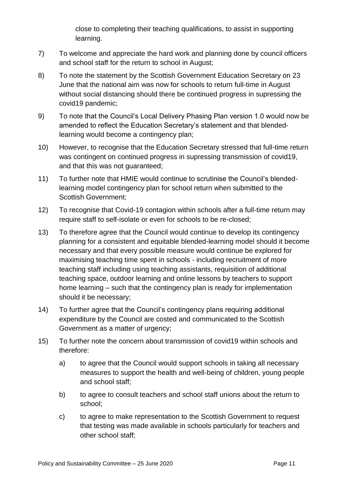close to completing their teaching qualifications, to assist in supporting learning.

- 7) To welcome and appreciate the hard work and planning done by council officers and school staff for the return to school in August;
- 8) To note the statement by the Scottish Government Education Secretary on 23 June that the national aim was now for schools to return full-time in August without social distancing should there be continued progress in supressing the covid19 pandemic;
- 9) To note that the Council's Local Delivery Phasing Plan version 1.0 would now be amended to reflect the Education Secretary's statement and that blendedlearning would become a contingency plan;
- 10) However, to recognise that the Education Secretary stressed that full-time return was contingent on continued progress in supressing transmission of covid19, and that this was not guaranteed;
- 11) To further note that HMIE would continue to scrutinise the Council's blendedlearning model contingency plan for school return when submitted to the Scottish Government;
- 12) To recognise that Covid-19 contagion within schools after a full-time return may require staff to self-isolate or even for schools to be re-closed;
- 13) To therefore agree that the Council would continue to develop its contingency planning for a consistent and equitable blended-learning model should it become necessary and that every possible measure would continue be explored for maximising teaching time spent in schools - including recruitment of more teaching staff including using teaching assistants, requisition of additional teaching space, outdoor learning and online lessons by teachers to support home learning – such that the contingency plan is ready for implementation should it be necessary;
- 14) To further agree that the Council's contingency plans requiring additional expenditure by the Council are costed and communicated to the Scottish Government as a matter of urgency;
- 15) To further note the concern about transmission of covid19 within schools and therefore:
	- a) to agree that the Council would support schools in taking all necessary measures to support the health and well-being of children, young people and school staff;
	- b) to agree to consult teachers and school staff unions about the return to school;
	- c) to agree to make representation to the Scottish Government to request that testing was made available in schools particularly for teachers and other school staff;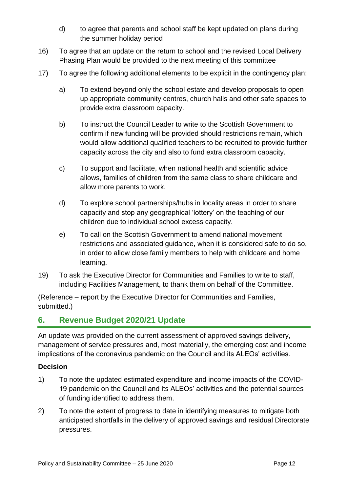- d) to agree that parents and school staff be kept updated on plans during the summer holiday period
- 16) To agree that an update on the return to school and the revised Local Delivery Phasing Plan would be provided to the next meeting of this committee
- 17) To agree the following additional elements to be explicit in the contingency plan:
	- a) To extend beyond only the school estate and develop proposals to open up appropriate community centres, church halls and other safe spaces to provide extra classroom capacity.
	- b) To instruct the Council Leader to write to the Scottish Government to confirm if new funding will be provided should restrictions remain, which would allow additional qualified teachers to be recruited to provide further capacity across the city and also to fund extra classroom capacity.
	- c) To support and facilitate, when national health and scientific advice allows, families of children from the same class to share childcare and allow more parents to work.
	- d) To explore school partnerships/hubs in locality areas in order to share capacity and stop any geographical 'lottery' on the teaching of our children due to individual school excess capacity.
	- e) To call on the Scottish Government to amend national movement restrictions and associated guidance, when it is considered safe to do so, in order to allow close family members to help with childcare and home learning.
- 19) To ask the Executive Director for Communities and Families to write to staff, including Facilities Management, to thank them on behalf of the Committee.

(Reference – report by the Executive Director for Communities and Families, submitted.)

# **6. Revenue Budget 2020/21 Update**

An update was provided on the current assessment of approved savings delivery, management of service pressures and, most materially, the emerging cost and income implications of the coronavirus pandemic on the Council and its ALEOs' activities.

### **Decision**

- 1) To note the updated estimated expenditure and income impacts of the COVID-19 pandemic on the Council and its ALEOs' activities and the potential sources of funding identified to address them.
- 2) To note the extent of progress to date in identifying measures to mitigate both anticipated shortfalls in the delivery of approved savings and residual Directorate pressures.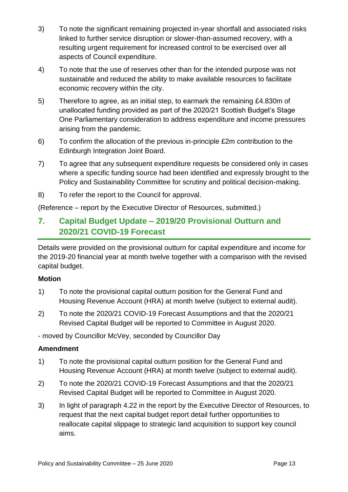- 3) To note the significant remaining projected in-year shortfall and associated risks linked to further service disruption or slower-than-assumed recovery, with a resulting urgent requirement for increased control to be exercised over all aspects of Council expenditure.
- 4) To note that the use of reserves other than for the intended purpose was not sustainable and reduced the ability to make available resources to facilitate economic recovery within the city.
- 5) Therefore to agree, as an initial step, to earmark the remaining £4.830m of unallocated funding provided as part of the 2020/21 Scottish Budget's Stage One Parliamentary consideration to address expenditure and income pressures arising from the pandemic.
- 6) To confirm the allocation of the previous in-principle £2m contribution to the Edinburgh Integration Joint Board.
- 7) To agree that any subsequent expenditure requests be considered only in cases where a specific funding source had been identified and expressly brought to the Policy and Sustainability Committee for scrutiny and political decision-making.
- 8) To refer the report to the Council for approval.

(Reference – report by the Executive Director of Resources, submitted.)

# **7. Capital Budget Update – 2019/20 Provisional Outturn and 2020/21 COVID-19 Forecast**

Details were provided on the provisional outturn for capital expenditure and income for the 2019-20 financial year at month twelve together with a comparison with the revised capital budget.

### **Motion**

- 1) To note the provisional capital outturn position for the General Fund and Housing Revenue Account (HRA) at month twelve (subject to external audit).
- 2) To note the 2020/21 COVID-19 Forecast Assumptions and that the 2020/21 Revised Capital Budget will be reported to Committee in August 2020.

- moved by Councillor McVey, seconded by Councillor Day

### **Amendment**

- 1) To note the provisional capital outturn position for the General Fund and Housing Revenue Account (HRA) at month twelve (subject to external audit).
- 2) To note the 2020/21 COVID-19 Forecast Assumptions and that the 2020/21 Revised Capital Budget will be reported to Committee in August 2020.
- 3) In light of paragraph 4.22 in the report by the Executive Director of Resources, to request that the next capital budget report detail further opportunities to reallocate capital slippage to strategic land acquisition to support key council aims.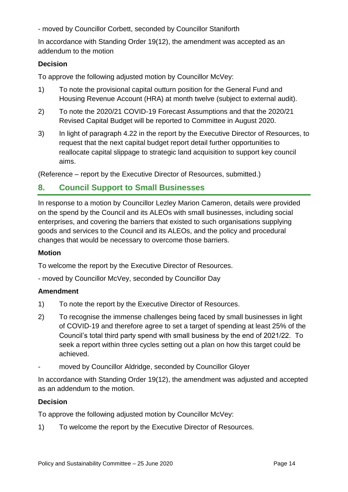- moved by Councillor Corbett, seconded by Councillor Staniforth

In accordance with Standing Order 19(12), the amendment was accepted as an addendum to the motion

### **Decision**

To approve the following adjusted motion by Councillor McVey:

- 1) To note the provisional capital outturn position for the General Fund and Housing Revenue Account (HRA) at month twelve (subject to external audit).
- 2) To note the 2020/21 COVID-19 Forecast Assumptions and that the 2020/21 Revised Capital Budget will be reported to Committee in August 2020.
- 3) In light of paragraph 4.22 in the report by the Executive Director of Resources, to request that the next capital budget report detail further opportunities to reallocate capital slippage to strategic land acquisition to support key council aims.

(Reference – report by the Executive Director of Resources, submitted.)

# **8. Council Support to Small Businesses**

In response to a motion by Councillor Lezley Marion Cameron, details were provided on the spend by the Council and its ALEOs with small businesses, including social enterprises, and covering the barriers that existed to such organisations supplying goods and services to the Council and its ALEOs, and the policy and procedural changes that would be necessary to overcome those barriers.

### **Motion**

To welcome the report by the Executive Director of Resources.

- moved by Councillor McVey, seconded by Councillor Day

### **Amendment**

- 1) To note the report by the Executive Director of Resources.
- 2) To recognise the immense challenges being faced by small businesses in light of COVID-19 and therefore agree to set a target of spending at least 25% of the Council's total third party spend with small business by the end of 2021/22. To seek a report within three cycles setting out a plan on how this target could be achieved.
- moved by Councillor Aldridge, seconded by Councillor Gloyer

In accordance with Standing Order 19(12), the amendment was adjusted and accepted as an addendum to the motion.

### **Decision**

To approve the following adjusted motion by Councillor McVey:

1) To welcome the report by the Executive Director of Resources.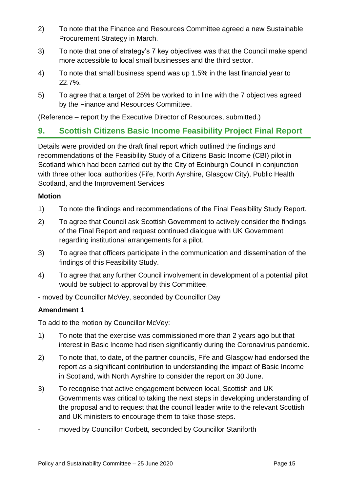- 2) To note that the Finance and Resources Committee agreed a new Sustainable Procurement Strategy in March.
- 3) To note that one of strategy's 7 key objectives was that the Council make spend more accessible to local small businesses and the third sector.
- 4) To note that small business spend was up 1.5% in the last financial year to 22.7%.
- 5) To agree that a target of 25% be worked to in line with the 7 objectives agreed by the Finance and Resources Committee.

(Reference – report by the Executive Director of Resources, submitted.)

### **9. Scottish Citizens Basic Income Feasibility Project Final Report**

Details were provided on the draft final report which outlined the findings and recommendations of the Feasibility Study of a Citizens Basic Income (CBI) pilot in Scotland which had been carried out by the City of Edinburgh Council in conjunction with three other local authorities (Fife, North Ayrshire, Glasgow City), Public Health Scotland, and the Improvement Services

#### **Motion**

- 1) To note the findings and recommendations of the Final Feasibility Study Report.
- 2) To agree that Council ask Scottish Government to actively consider the findings of the Final Report and request continued dialogue with UK Government regarding institutional arrangements for a pilot.
- 3) To agree that officers participate in the communication and dissemination of the findings of this Feasibility Study.
- 4) To agree that any further Council involvement in development of a potential pilot would be subject to approval by this Committee.
- moved by Councillor McVey, seconded by Councillor Day

### **Amendment 1**

To add to the motion by Councillor McVey:

- 1) To note that the exercise was commissioned more than 2 years ago but that interest in Basic Income had risen significantly during the Coronavirus pandemic.
- 2) To note that, to date, of the partner councils, Fife and Glasgow had endorsed the report as a significant contribution to understanding the impact of Basic Income in Scotland, with North Ayrshire to consider the report on 30 June.
- 3) To recognise that active engagement between local, Scottish and UK Governments was critical to taking the next steps in developing understanding of the proposal and to request that the council leader write to the relevant Scottish and UK ministers to encourage them to take those steps.
- moved by Councillor Corbett, seconded by Councillor Staniforth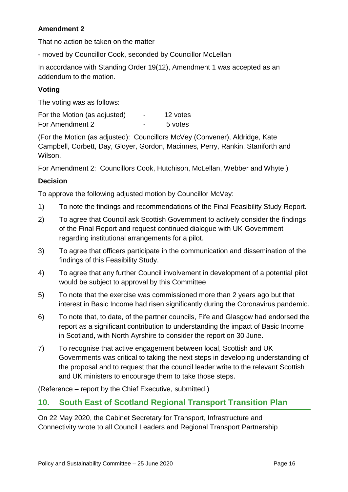### **Amendment 2**

That no action be taken on the matter

- moved by Councillor Cook, seconded by Councillor McLellan

In accordance with Standing Order 19(12), Amendment 1 was accepted as an addendum to the motion.

### **Voting**

The voting was as follows:

| For the Motion (as adjusted) | $\overline{\phantom{0}}$ | 12 votes |
|------------------------------|--------------------------|----------|
| For Amendment 2              |                          | 5 votes  |

(For the Motion (as adjusted): Councillors McVey (Convener), Aldridge, Kate Campbell, Corbett, Day, Gloyer, Gordon, Macinnes, Perry, Rankin, Staniforth and Wilson.

For Amendment 2: Councillors Cook, Hutchison, McLellan, Webber and Whyte.)

### **Decision**

To approve the following adjusted motion by Councillor McVey:

- 1) To note the findings and recommendations of the Final Feasibility Study Report.
- 2) To agree that Council ask Scottish Government to actively consider the findings of the Final Report and request continued dialogue with UK Government regarding institutional arrangements for a pilot.
- 3) To agree that officers participate in the communication and dissemination of the findings of this Feasibility Study.
- 4) To agree that any further Council involvement in development of a potential pilot would be subject to approval by this Committee
- 5) To note that the exercise was commissioned more than 2 years ago but that interest in Basic Income had risen significantly during the Coronavirus pandemic.
- 6) To note that, to date, of the partner councils, Fife and Glasgow had endorsed the report as a significant contribution to understanding the impact of Basic Income in Scotland, with North Ayrshire to consider the report on 30 June.
- 7) To recognise that active engagement between local, Scottish and UK Governments was critical to taking the next steps in developing understanding of the proposal and to request that the council leader write to the relevant Scottish and UK ministers to encourage them to take those steps.

(Reference – report by the Chief Executive, submitted.)

### **10. South East of Scotland Regional Transport Transition Plan**

On 22 May 2020, the Cabinet Secretary for Transport, Infrastructure and Connectivity wrote to all Council Leaders and Regional Transport Partnership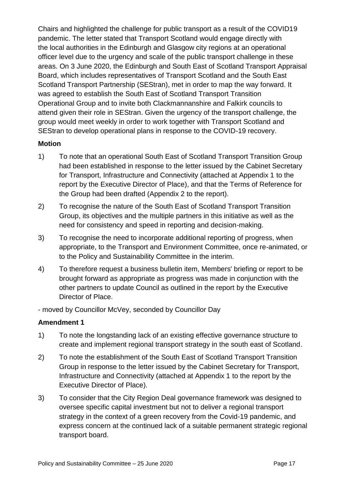Chairs and highlighted the challenge for public transport as a result of the COVID19 pandemic. The letter stated that Transport Scotland would engage directly with the local authorities in the Edinburgh and Glasgow city regions at an operational officer level due to the urgency and scale of the public transport challenge in these areas. On 3 June 2020, the Edinburgh and South East of Scotland Transport Appraisal Board, which includes representatives of Transport Scotland and the South East Scotland Transport Partnership (SEStran), met in order to map the way forward. It was agreed to establish the South East of Scotland Transport Transition Operational Group and to invite both Clackmannanshire and Falkirk councils to attend given their role in SEStran. Given the urgency of the transport challenge, the group would meet weekly in order to work together with Transport Scotland and SEStran to develop operational plans in response to the COVID-19 recovery.

#### **Motion**

- 1) To note that an operational South East of Scotland Transport Transition Group had been established in response to the letter issued by the Cabinet Secretary for Transport, Infrastructure and Connectivity (attached at Appendix 1 to the report by the Executive Director of Place), and that the Terms of Reference for the Group had been drafted (Appendix 2 to the report).
- 2) To recognise the nature of the South East of Scotland Transport Transition Group, its objectives and the multiple partners in this initiative as well as the need for consistency and speed in reporting and decision-making.
- 3) To recognise the need to incorporate additional reporting of progress, when appropriate, to the Transport and Environment Committee, once re-animated, or to the Policy and Sustainability Committee in the interim.
- 4) To therefore request a business bulletin item, Members' briefing or report to be brought forward as appropriate as progress was made in conjunction with the other partners to update Council as outlined in the report by the Executive Director of Place.

- moved by Councillor McVey, seconded by Councillor Day

### **Amendment 1**

- 1) To note the longstanding lack of an existing effective governance structure to create and implement regional transport strategy in the south east of Scotland.
- 2) To note the establishment of the South East of Scotland Transport Transition Group in response to the letter issued by the Cabinet Secretary for Transport, Infrastructure and Connectivity (attached at Appendix 1 to the report by the Executive Director of Place).
- 3) To consider that the City Region Deal governance framework was designed to oversee specific capital investment but not to deliver a regional transport strategy in the context of a green recovery from the Covid-19 pandemic, and express concern at the continued lack of a suitable permanent strategic regional transport board.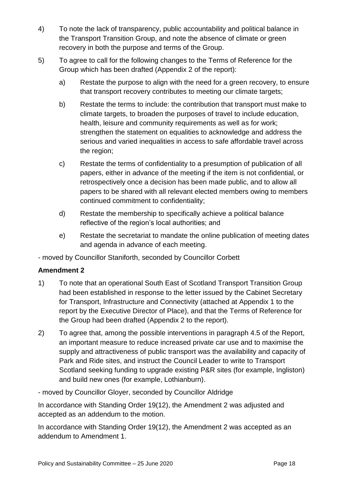- 4) To note the lack of transparency, public accountability and political balance in the Transport Transition Group, and note the absence of climate or green recovery in both the purpose and terms of the Group.
- 5) To agree to call for the following changes to the Terms of Reference for the Group which has been drafted (Appendix 2 of the report):
	- a) Restate the purpose to align with the need for a green recovery, to ensure that transport recovery contributes to meeting our climate targets;
	- b) Restate the terms to include: the contribution that transport must make to climate targets, to broaden the purposes of travel to include education, health, leisure and community requirements as well as for work; strengthen the statement on equalities to acknowledge and address the serious and varied inequalities in access to safe affordable travel across the region;
	- c) Restate the terms of confidentiality to a presumption of publication of all papers, either in advance of the meeting if the item is not confidential, or retrospectively once a decision has been made public, and to allow all papers to be shared with all relevant elected members owing to members continued commitment to confidentiality;
	- d) Restate the membership to specifically achieve a political balance reflective of the region's local authorities; and
	- e) Restate the secretariat to mandate the online publication of meeting dates and agenda in advance of each meeting.

- moved by Councillor Staniforth, seconded by Councillor Corbett

### **Amendment 2**

- 1) To note that an operational South East of Scotland Transport Transition Group had been established in response to the letter issued by the Cabinet Secretary for Transport, Infrastructure and Connectivity (attached at Appendix 1 to the report by the Executive Director of Place), and that the Terms of Reference for the Group had been drafted (Appendix 2 to the report).
- 2) To agree that, among the possible interventions in paragraph 4.5 of the Report, an important measure to reduce increased private car use and to maximise the supply and attractiveness of public transport was the availability and capacity of Park and Ride sites, and instruct the Council Leader to write to Transport Scotland seeking funding to upgrade existing P&R sites (for example, Ingliston) and build new ones (for example, Lothianburn).

### - moved by Councillor Gloyer, seconded by Councillor Aldridge

In accordance with Standing Order 19(12), the Amendment 2 was adjusted and accepted as an addendum to the motion.

In accordance with Standing Order 19(12), the Amendment 2 was accepted as an addendum to Amendment 1.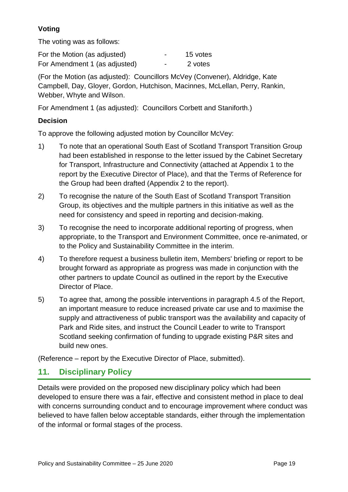### **Voting**

The voting was as follows:

| For the Motion (as adjusted)  | -                        | 15 votes |
|-------------------------------|--------------------------|----------|
| For Amendment 1 (as adjusted) | $\overline{\phantom{0}}$ | 2 votes  |

(For the Motion (as adjusted): Councillors McVey (Convener), Aldridge, Kate Campbell, Day, Gloyer, Gordon, Hutchison, Macinnes, McLellan, Perry, Rankin, Webber, Whyte and Wilson.

For Amendment 1 (as adjusted): Councillors Corbett and Staniforth.)

### **Decision**

To approve the following adjusted motion by Councillor McVey:

- 1) To note that an operational South East of Scotland Transport Transition Group had been established in response to the letter issued by the Cabinet Secretary for Transport, Infrastructure and Connectivity (attached at Appendix 1 to the report by the Executive Director of Place), and that the Terms of Reference for the Group had been drafted (Appendix 2 to the report).
- 2) To recognise the nature of the South East of Scotland Transport Transition Group, its objectives and the multiple partners in this initiative as well as the need for consistency and speed in reporting and decision-making.
- 3) To recognise the need to incorporate additional reporting of progress, when appropriate, to the Transport and Environment Committee, once re-animated, or to the Policy and Sustainability Committee in the interim.
- 4) To therefore request a business bulletin item, Members' briefing or report to be brought forward as appropriate as progress was made in conjunction with the other partners to update Council as outlined in the report by the Executive Director of Place.
- 5) To agree that, among the possible interventions in paragraph 4.5 of the Report, an important measure to reduce increased private car use and to maximise the supply and attractiveness of public transport was the availability and capacity of Park and Ride sites, and instruct the Council Leader to write to Transport Scotland seeking confirmation of funding to upgrade existing P&R sites and build new ones.

(Reference – report by the Executive Director of Place, submitted).

# **11. Disciplinary Policy**

Details were provided on the proposed new disciplinary policy which had been developed to ensure there was a fair, effective and consistent method in place to deal with concerns surrounding conduct and to encourage improvement where conduct was believed to have fallen below acceptable standards, either through the implementation of the informal or formal stages of the process.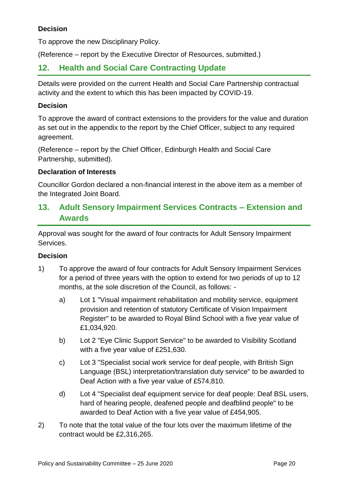### **Decision**

To approve the new Disciplinary Policy.

(Reference – report by the Executive Director of Resources, submitted.)

### **12. Health and Social Care Contracting Update**

Details were provided on the current Health and Social Care Partnership contractual activity and the extent to which this has been impacted by COVID-19.

#### **Decision**

To approve the award of contract extensions to the providers for the value and duration as set out in the appendix to the report by the Chief Officer, subject to any required agreement.

(Reference – report by the Chief Officer, Edinburgh Health and Social Care Partnership, submitted).

#### **Declaration of Interests**

Councillor Gordon declared a non-financial interest in the above item as a member of the Integrated Joint Board.

### **13. Adult Sensory Impairment Services Contracts – Extension and Awards**

Approval was sought for the award of four contracts for Adult Sensory Impairment Services.

#### **Decision**

- 1) To approve the award of four contracts for Adult Sensory Impairment Services for a period of three years with the option to extend for two periods of up to 12 months, at the sole discretion of the Council, as follows:
	- a) Lot 1 "Visual impairment rehabilitation and mobility service, equipment provision and retention of statutory Certificate of Vision Impairment Register" to be awarded to Royal Blind School with a five year value of £1,034,920.
	- b) Lot 2 "Eye Clinic Support Service" to be awarded to Visibility Scotland with a five year value of £251,630.
	- c) Lot 3 "Specialist social work service for deaf people, with British Sign Language (BSL) interpretation/translation duty service" to be awarded to Deaf Action with a five year value of £574,810.
	- d) Lot 4 "Specialist deaf equipment service for deaf people: Deaf BSL users, hard of hearing people, deafened people and deafblind people" to be awarded to Deaf Action with a five year value of £454,905.
- 2) To note that the total value of the four lots over the maximum lifetime of the contract would be £2,316,265.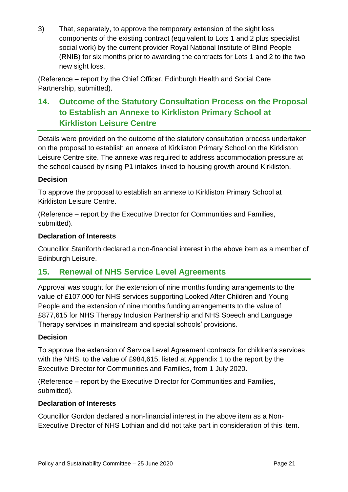3) That, separately, to approve the temporary extension of the sight loss components of the existing contract (equivalent to Lots 1 and 2 plus specialist social work) by the current provider Royal National Institute of Blind People (RNIB) for six months prior to awarding the contracts for Lots 1 and 2 to the two new sight loss.

(Reference – report by the Chief Officer, Edinburgh Health and Social Care Partnership, submitted).

# **14. Outcome of the Statutory Consultation Process on the Proposal to Establish an Annexe to Kirkliston Primary School at Kirkliston Leisure Centre**

Details were provided on the outcome of the statutory consultation process undertaken on the proposal to establish an annexe of Kirkliston Primary School on the Kirkliston Leisure Centre site. The annexe was required to address accommodation pressure at the school caused by rising P1 intakes linked to housing growth around Kirkliston.

### **Decision**

To approve the proposal to establish an annexe to Kirkliston Primary School at Kirkliston Leisure Centre.

(Reference – report by the Executive Director for Communities and Families, submitted).

### **Declaration of Interests**

Councillor Staniforth declared a non-financial interest in the above item as a member of Edinburgh Leisure.

# **15. Renewal of NHS Service Level Agreements**

Approval was sought for the extension of nine months funding arrangements to the value of £107,000 for NHS services supporting Looked After Children and Young People and the extension of nine months funding arrangements to the value of £877,615 for NHS Therapy Inclusion Partnership and NHS Speech and Language Therapy services in mainstream and special schools' provisions.

### **Decision**

To approve the extension of Service Level Agreement contracts for children's services with the NHS, to the value of £984,615, listed at Appendix 1 to the report by the Executive Director for Communities and Families, from 1 July 2020.

(Reference – report by the Executive Director for Communities and Families, submitted).

### **Declaration of Interests**

Councillor Gordon declared a non-financial interest in the above item as a Non-Executive Director of NHS Lothian and did not take part in consideration of this item.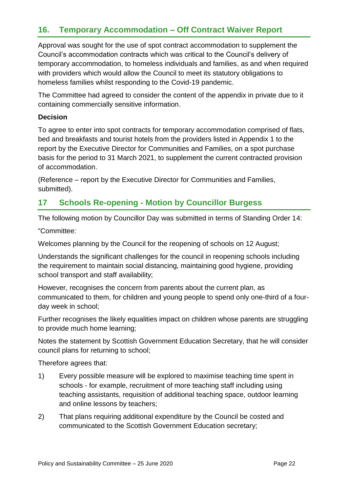# **16. Temporary Accommodation – Off Contract Waiver Report**

Approval was sought for the use of spot contract accommodation to supplement the Council's accommodation contracts which was critical to the Council's delivery of temporary accommodation, to homeless individuals and families, as and when required with providers which would allow the Council to meet its statutory obligations to homeless families whilst responding to the Covid-19 pandemic.

The Committee had agreed to consider the content of the appendix in private due to it containing commercially sensitive information.

#### **Decision**

To agree to enter into spot contracts for temporary accommodation comprised of flats, bed and breakfasts and tourist hotels from the providers listed in Appendix 1 to the report by the Executive Director for Communities and Families, on a spot purchase basis for the period to 31 March 2021, to supplement the current contracted provision of accommodation.

(Reference – report by the Executive Director for Communities and Families, submitted).

# **17 Schools Re-opening - Motion by Councillor Burgess**

The following motion by Councillor Day was submitted in terms of Standing Order 14:

"Committee:

Welcomes planning by the Council for the reopening of schools on 12 August;

Understands the significant challenges for the council in reopening schools including the requirement to maintain social distancing, maintaining good hygiene, providing school transport and staff availability;

However, recognises the concern from parents about the current plan, as communicated to them, for children and young people to spend only one-third of a fourday week in school;

Further recognises the likely equalities impact on children whose parents are struggling to provide much home learning;

Notes the statement by Scottish Government Education Secretary, that he will consider council plans for returning to school;

Therefore agrees that:

- 1) Every possible measure will be explored to maximise teaching time spent in schools - for example, recruitment of more teaching staff including using teaching assistants, requisition of additional teaching space, outdoor learning and online lessons by teachers;
- 2) That plans requiring additional expenditure by the Council be costed and communicated to the Scottish Government Education secretary;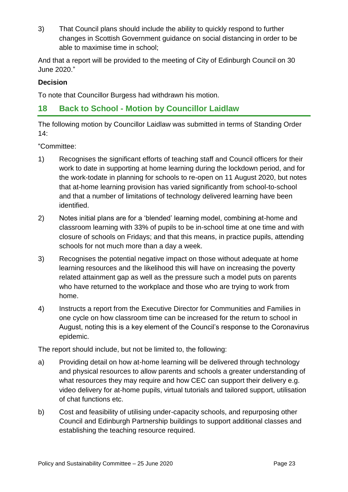3) That Council plans should include the ability to quickly respond to further changes in Scottish Government guidance on social distancing in order to be able to maximise time in school;

And that a report will be provided to the meeting of City of Edinburgh Council on 30 June 2020."

### **Decision**

To note that Councillor Burgess had withdrawn his motion.

# **18 Back to School - Motion by Councillor Laidlaw**

The following motion by Councillor Laidlaw was submitted in terms of Standing Order 14:

"Committee:

- 1) Recognises the significant efforts of teaching staff and Council officers for their work to date in supporting at home learning during the lockdown period, and for the work-todate in planning for schools to re-open on 11 August 2020, but notes that at-home learning provision has varied significantly from school-to-school and that a number of limitations of technology delivered learning have been identified.
- 2) Notes initial plans are for a 'blended' learning model, combining at-home and classroom learning with 33% of pupils to be in-school time at one time and with closure of schools on Fridays; and that this means, in practice pupils, attending schools for not much more than a day a week.
- 3) Recognises the potential negative impact on those without adequate at home learning resources and the likelihood this will have on increasing the poverty related attainment gap as well as the pressure such a model puts on parents who have returned to the workplace and those who are trying to work from home.
- 4) Instructs a report from the Executive Director for Communities and Families in one cycle on how classroom time can be increased for the return to school in August, noting this is a key element of the Council's response to the Coronavirus epidemic.

The report should include, but not be limited to, the following:

- a) Providing detail on how at-home learning will be delivered through technology and physical resources to allow parents and schools a greater understanding of what resources they may require and how CEC can support their delivery e.g. video delivery for at-home pupils, virtual tutorials and tailored support, utilisation of chat functions etc.
- b) Cost and feasibility of utilising under-capacity schools, and repurposing other Council and Edinburgh Partnership buildings to support additional classes and establishing the teaching resource required.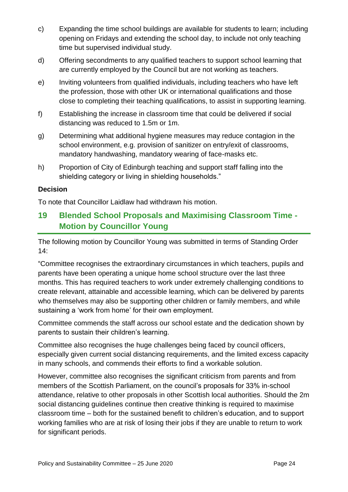- c) Expanding the time school buildings are available for students to learn; including opening on Fridays and extending the school day, to include not only teaching time but supervised individual study.
- d) Offering secondments to any qualified teachers to support school learning that are currently employed by the Council but are not working as teachers.
- e) Inviting volunteers from qualified individuals, including teachers who have left the profession, those with other UK or international qualifications and those close to completing their teaching qualifications, to assist in supporting learning.
- f) Establishing the increase in classroom time that could be delivered if social distancing was reduced to 1.5m or 1m.
- g) Determining what additional hygiene measures may reduce contagion in the school environment, e.g. provision of sanitizer on entry/exit of classrooms, mandatory handwashing, mandatory wearing of face-masks etc.
- h) Proportion of City of Edinburgh teaching and support staff falling into the shielding category or living in shielding households."

### **Decision**

To note that Councillor Laidlaw had withdrawn his motion.

# **19 Blended School Proposals and Maximising Classroom Time - Motion by Councillor Young**

The following motion by Councillor Young was submitted in terms of Standing Order 14:

"Committee recognises the extraordinary circumstances in which teachers, pupils and parents have been operating a unique home school structure over the last three months. This has required teachers to work under extremely challenging conditions to create relevant, attainable and accessible learning, which can be delivered by parents who themselves may also be supporting other children or family members, and while sustaining a 'work from home' for their own employment.

Committee commends the staff across our school estate and the dedication shown by parents to sustain their children's learning.

Committee also recognises the huge challenges being faced by council officers, especially given current social distancing requirements, and the limited excess capacity in many schools, and commends their efforts to find a workable solution.

However, committee also recognises the significant criticism from parents and from members of the Scottish Parliament, on the council's proposals for 33% in-school attendance, relative to other proposals in other Scottish local authorities. Should the 2m social distancing guidelines continue then creative thinking is required to maximise classroom time – both for the sustained benefit to children's education, and to support working families who are at risk of losing their jobs if they are unable to return to work for significant periods.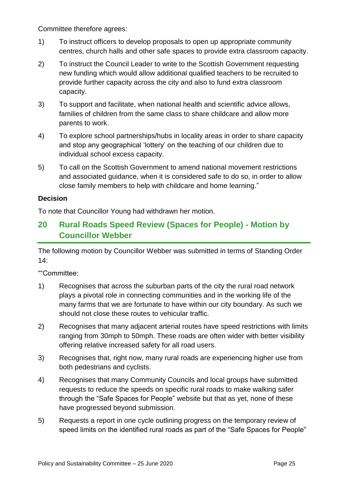Committee therefore agrees:

- 1) To instruct officers to develop proposals to open up appropriate community centres, church halls and other safe spaces to provide extra classroom capacity.
- 2) To instruct the Council Leader to write to the Scottish Government requesting new funding which would allow additional qualified teachers to be recruited to provide further capacity across the city and also to fund extra classroom capacity.
- 3) To support and facilitate, when national health and scientific advice allows, families of children from the same class to share childcare and allow more parents to work.
- 4) To explore school partnerships/hubs in locality areas in order to share capacity and stop any geographical 'lottery' on the teaching of our children due to individual school excess capacity.
- 5) To call on the Scottish Government to amend national movement restrictions and associated guidance, when it is considered safe to do so, in order to allow close family members to help with childcare and home learning."

#### **Decision**

To note that Councillor Young had withdrawn her motion.

# **20 Rural Roads Speed Review (Spaces for People) - Motion by Councillor Webber**

The following motion by Councillor Webber was submitted in terms of Standing Order 14:

""Committee:

- 1) Recognises that across the suburban parts of the city the rural road network plays a pivotal role in connecting communities and in the working life of the many farms that we are fortunate to have within our city boundary. As such we should not close these routes to vehicular traffic.
- 2) Recognises that many adjacent arterial routes have speed restrictions with limits ranging from 30mph to 50mph. These roads are often wider with better visibility offering relative increased safety for all road users.
- 3) Recognises that, right now, many rural roads are experiencing higher use from both pedestrians and cyclists.
- 4) Recognises that many Community Councils and local groups have submitted requests to reduce the speeds on specific rural roads to make walking safer through the "Safe Spaces for People" website but that as yet, none of these have progressed beyond submission.
- 5) Requests a report in one cycle outlining progress on the temporary review of speed limits on the identified rural roads as part of the "Safe Spaces for People"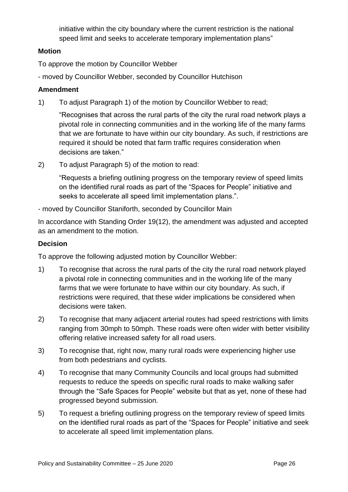initiative within the city boundary where the current restriction is the national speed limit and seeks to accelerate temporary implementation plans"

#### **Motion**

To approve the motion by Councillor Webber

- moved by Councillor Webber, seconded by Councillor Hutchison

### **Amendment**

1) To adjust Paragraph 1) of the motion by Councillor Webber to read;

"Recognises that across the rural parts of the city the rural road network plays a pivotal role in connecting communities and in the working life of the many farms that we are fortunate to have within our city boundary. As such, if restrictions are required it should be noted that farm traffic requires consideration when decisions are taken."

2) To adjust Paragraph 5) of the motion to read:

"Requests a briefing outlining progress on the temporary review of speed limits on the identified rural roads as part of the "Spaces for People" initiative and seeks to accelerate all speed limit implementation plans.".

- moved by Councillor Staniforth, seconded by Councillor Main

In accordance with Standing Order 19(12), the amendment was adjusted and accepted as an amendment to the motion.

### **Decision**

To approve the following adjusted motion by Councillor Webber:

- 1) To recognise that across the rural parts of the city the rural road network played a pivotal role in connecting communities and in the working life of the many farms that we were fortunate to have within our city boundary. As such, if restrictions were required, that these wider implications be considered when decisions were taken.
- 2) To recognise that many adjacent arterial routes had speed restrictions with limits ranging from 30mph to 50mph. These roads were often wider with better visibility offering relative increased safety for all road users.
- 3) To recognise that, right now, many rural roads were experiencing higher use from both pedestrians and cyclists.
- 4) To recognise that many Community Councils and local groups had submitted requests to reduce the speeds on specific rural roads to make walking safer through the "Safe Spaces for People" website but that as yet, none of these had progressed beyond submission.
- 5) To request a briefing outlining progress on the temporary review of speed limits on the identified rural roads as part of the "Spaces for People" initiative and seek to accelerate all speed limit implementation plans.